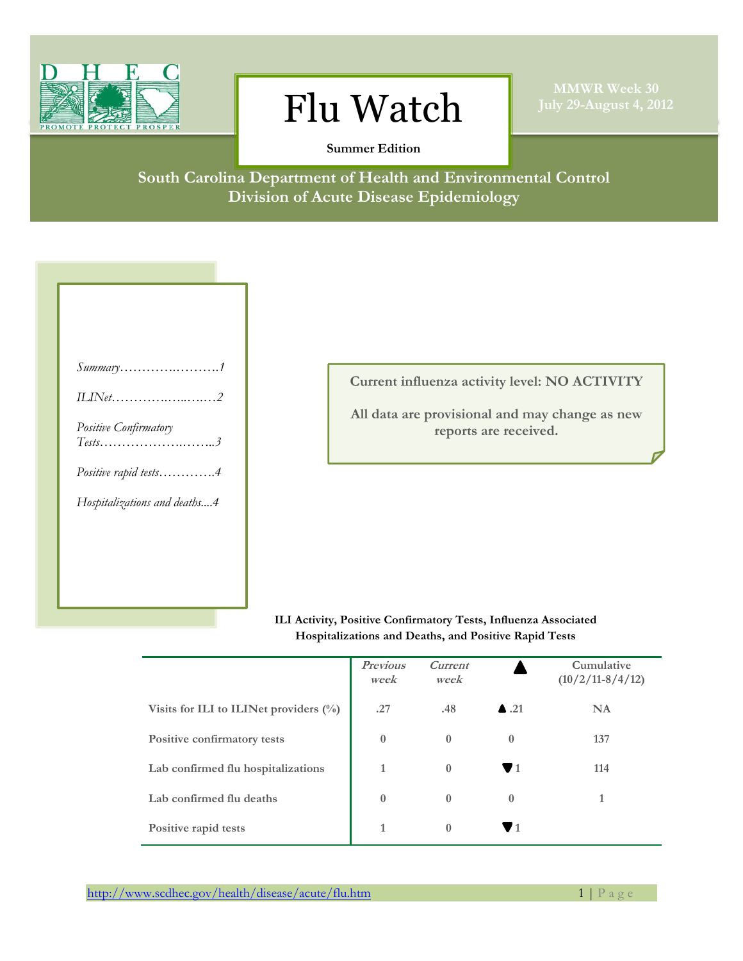

## $\text{Flu Watch}$   $\text{July 29-August 4, 2012}$

**MMWR Week 30**

**Summer Edition**

**South Carolina Department of Health and Environmental Control Division of Acute Disease Epidemiology**

**Current influenza activity level: NO ACTIVITY**

**All data are provisional and may change as new reports are received.**

## **ILI Activity, Positive Confirmatory Tests, Influenza Associated Hospitalizations and Deaths, and Positive Rapid Tests**

|                                           | <b>Previous</b><br>week | Current<br>week |                      | Cumulative<br>$(10/2/11-8/4/12)$ |
|-------------------------------------------|-------------------------|-----------------|----------------------|----------------------------------|
| Visits for ILI to ILINet providers $(\%)$ | .27                     | .48             | $\blacktriangle$ .21 | <b>NA</b>                        |
| Positive confirmatory tests               | $\theta$                | $\theta$        | $\theta$             | 137                              |
| Lab confirmed flu hospitalizations        |                         | $\theta$        | 71                   | 114                              |
| Lab confirmed flu deaths                  | $\mathbf{0}$            | $\theta$        | $\bf{0}$             |                                  |
| Positive rapid tests                      |                         | $\theta$        |                      |                                  |

http://www.scdhec.gov/health/disease/acute/flu.htm 1 | P a g e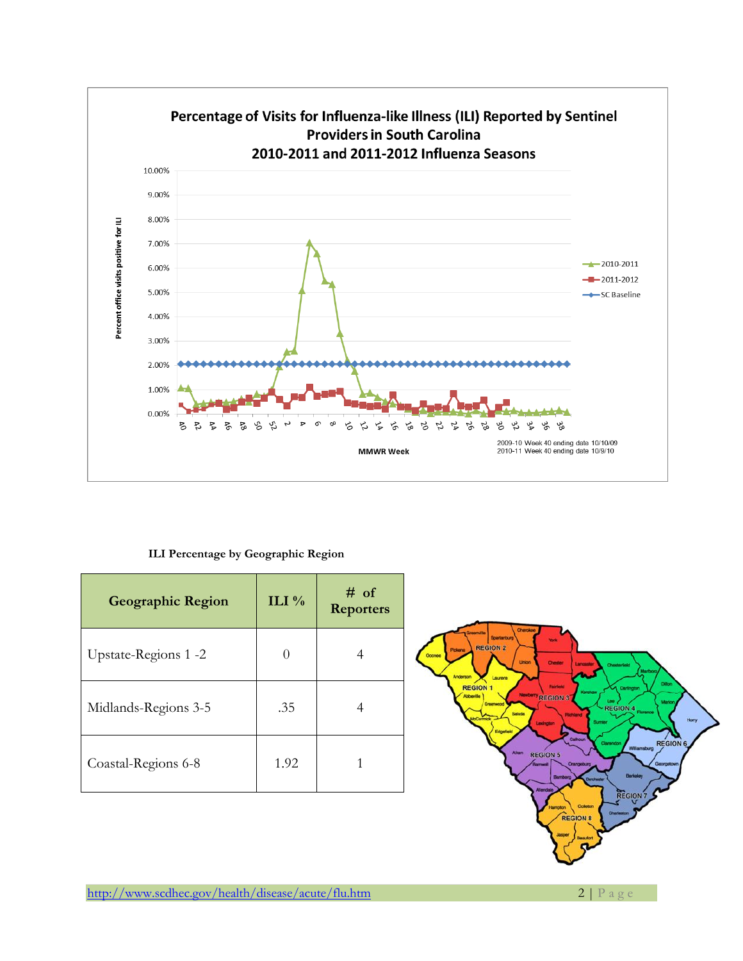

**ILI Percentage by Geographic Region**

| <b>Geographic Region</b> | ILI $\%$ | $#$ of<br><b>Reporters</b> |
|--------------------------|----------|----------------------------|
| Upstate-Regions 1 -2     |          |                            |
| Midlands-Regions 3-5     | .35      |                            |
| Coastal-Regions 6-8      | 1.92     |                            |

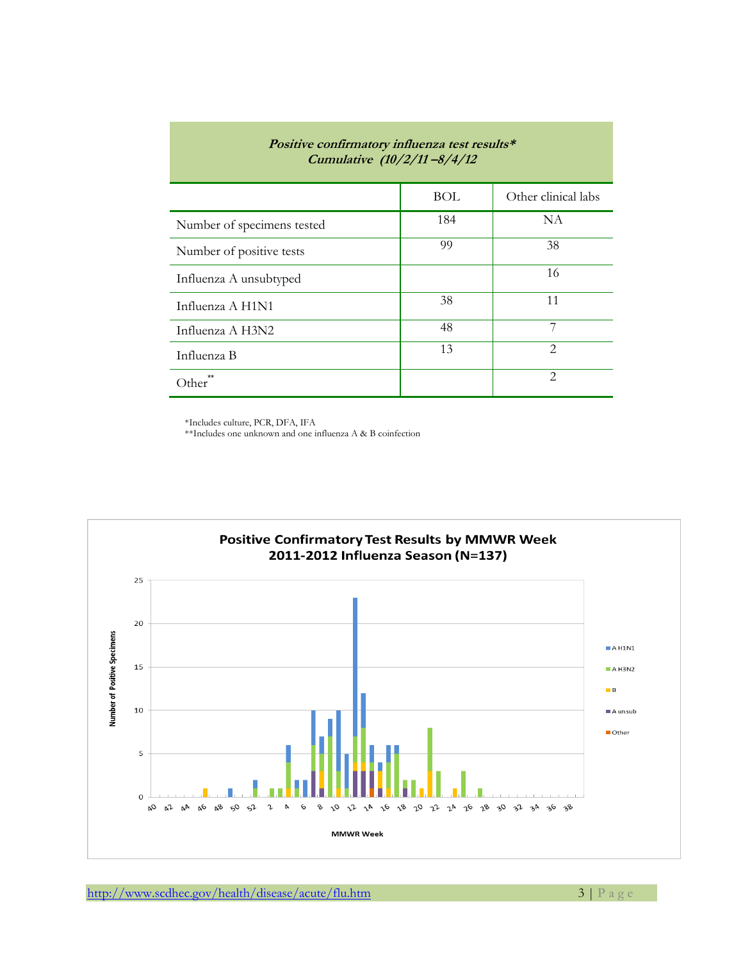| <i>Positive confirmatory influenza test results*</i><br>Cumulative (10/2/11-8/4/12 |     |                             |  |  |  |
|------------------------------------------------------------------------------------|-----|-----------------------------|--|--|--|
|                                                                                    | BOL | Other clinical labs         |  |  |  |
| Number of specimens tested                                                         | 184 | NA                          |  |  |  |
| Number of positive tests                                                           | 99  | 38                          |  |  |  |
| Influenza A unsubtyped                                                             |     | 16                          |  |  |  |
| Influenza A H1N1                                                                   | 38  | 11                          |  |  |  |
| Influenza A H3N2                                                                   | 48  | 7                           |  |  |  |
| Influenza B                                                                        | 13  | $\mathcal{L}$               |  |  |  |
| )ther                                                                              |     | $\mathcal{D}_{\mathcal{L}}$ |  |  |  |

\*Includes culture, PCR, DFA, IFA

\*\*Includes one unknown and one influenza A & B coinfection